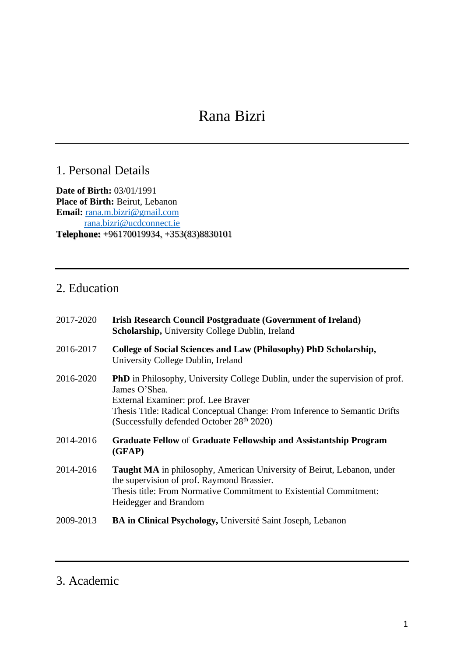# Rana Bizri

# 1. Personal Details

**Date of Birth:** 03/01/1991 **Place of Birth:** Beirut, Lebanon **Email:** [rana.m.bizri@gmail.com](mailto:rana.m.bizri@gmail.com) [rana.bizri@ucdconnect.ie](mailto:rana.bizri@ucdconnect.ie) **Telephone:** +96170019934, +353(83)8830101

# 2. Education

| 2017-2020 | <b>Irish Research Council Postgraduate (Government of Ireland)</b><br>Scholarship, University College Dublin, Ireland                                                                                                                                                  |
|-----------|------------------------------------------------------------------------------------------------------------------------------------------------------------------------------------------------------------------------------------------------------------------------|
| 2016-2017 | College of Social Sciences and Law (Philosophy) PhD Scholarship,<br>University College Dublin, Ireland                                                                                                                                                                 |
| 2016-2020 | <b>PhD</b> in Philosophy, University College Dublin, under the supervision of prof.<br>James O'Shea.<br>External Examiner: prof. Lee Braver<br>Thesis Title: Radical Conceptual Change: From Inference to Semantic Drifts<br>(Successfully defended October 28th 2020) |
| 2014-2016 | <b>Graduate Fellow of Graduate Fellowship and Assistantship Program</b><br>(GFAP)                                                                                                                                                                                      |
| 2014-2016 | Taught MA in philosophy, American University of Beirut, Lebanon, under<br>the supervision of prof. Raymond Brassier.<br>Thesis title: From Normative Commitment to Existential Commitment:<br>Heidegger and Brandom                                                    |
| 2009-2013 | <b>BA in Clinical Psychology, Université Saint Joseph, Lebanon</b>                                                                                                                                                                                                     |

# 3. Academic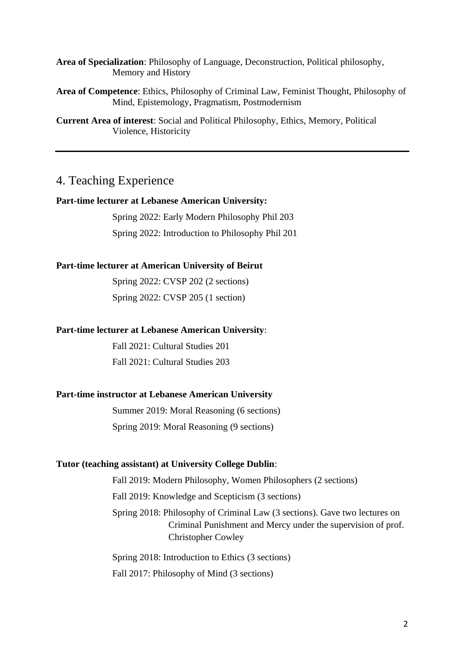**Area of Specialization**: Philosophy of Language, Deconstruction, Political philosophy, Memory and History

**Area of Competence**: Ethics, Philosophy of Criminal Law, Feminist Thought, Philosophy of Mind, Epistemology, Pragmatism, Postmodernism

**Current Area of interest**: Social and Political Philosophy, Ethics, Memory, Political Violence, Historicity

## 4. Teaching Experience

#### **Part-time lecturer at Lebanese American University:**

Spring 2022: Early Modern Philosophy Phil 203 Spring 2022: Introduction to Philosophy Phil 201

#### **Part-time lecturer at American University of Beirut**

Spring 2022: CVSP 202 (2 sections) Spring 2022: CVSP 205 (1 section)

#### **Part-time lecturer at Lebanese American University**:

Fall 2021: Cultural Studies 201 Fall 2021: Cultural Studies 203

#### **Part-time instructor at Lebanese American University**

Summer 2019: Moral Reasoning (6 sections) Spring 2019: Moral Reasoning (9 sections)

#### **Tutor (teaching assistant) at University College Dublin**:

Fall 2019: Modern Philosophy, Women Philosophers (2 sections) Fall 2019: Knowledge and Scepticism (3 sections) Spring 2018: Philosophy of Criminal Law (3 sections). Gave two lectures on Criminal Punishment and Mercy under the supervision of prof. Christopher Cowley

Spring 2018: Introduction to Ethics (3 sections) Fall 2017: Philosophy of Mind (3 sections)